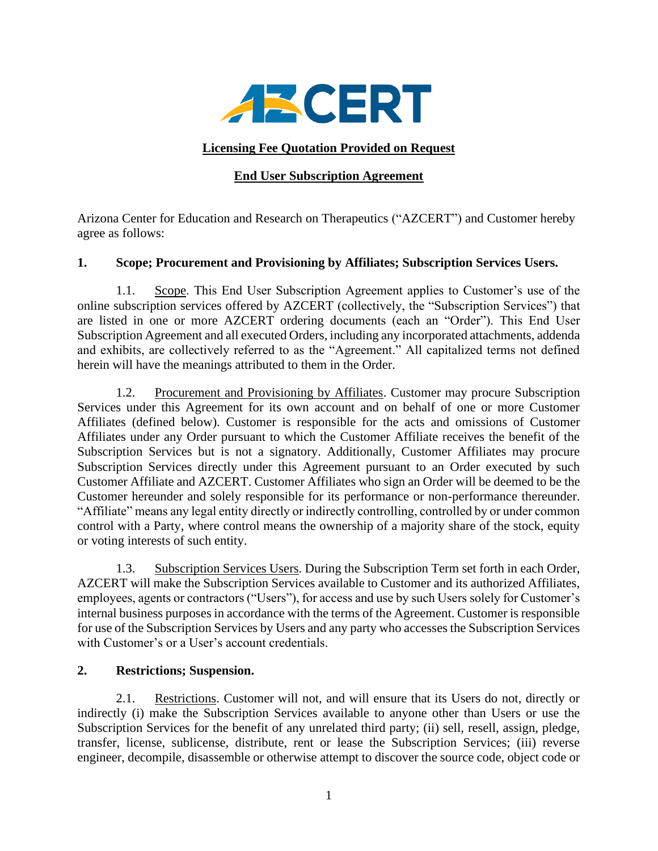

### **Licensing Fee Quotation Provided on Request**

### **End User Subscription Agreement**

Arizona Center for Education and Research on Therapeutics ("AZCERT") and Customer hereby agree as follows:

# **1. Scope; Procurement and Provisioning by Affiliates; Subscription Services Users.**

1.1. Scope. This End User Subscription Agreement applies to Customer's use of the online subscription services offered by AZCERT (collectively, the "Subscription Services") that are listed in one or more AZCERT ordering documents (each an "Order"). This End User Subscription Agreement and all executed Orders, including any incorporated attachments, addenda and exhibits, are collectively referred to as the "Agreement." All capitalized terms not defined herein will have the meanings attributed to them in the Order.

1.2. Procurement and Provisioning by Affiliates. Customer may procure Subscription Services under this Agreement for its own account and on behalf of one or more Customer Affiliates (defined below). Customer is responsible for the acts and omissions of Customer Affiliates under any Order pursuant to which the Customer Affiliate receives the benefit of the Subscription Services but is not a signatory. Additionally, Customer Affiliates may procure Subscription Services directly under this Agreement pursuant to an Order executed by such Customer Affiliate and AZCERT. Customer Affiliates who sign an Order will be deemed to be the Customer hereunder and solely responsible for its performance or non-performance thereunder. "Affiliate" means any legal entity directly or indirectly controlling, controlled by or under common control with a Party, where control means the ownership of a majority share of the stock, equity or voting interests of such entity.

1.3. Subscription Services Users. During the Subscription Term set forth in each Order, AZCERT will make the Subscription Services available to Customer and its authorized Affiliates, employees, agents or contractors ("Users"), for access and use by such Users solely for Customer's internal business purposes in accordance with the terms of the Agreement. Customer is responsible for use of the Subscription Services by Users and any party who accesses the Subscription Services with Customer's or a User's account credentials.

#### **2. Restrictions; Suspension.**

2.1. Restrictions. Customer will not, and will ensure that its Users do not, directly or indirectly (i) make the Subscription Services available to anyone other than Users or use the Subscription Services for the benefit of any unrelated third party; (ii) sell, resell, assign, pledge, transfer, license, sublicense, distribute, rent or lease the Subscription Services; (iii) reverse engineer, decompile, disassemble or otherwise attempt to discover the source code, object code or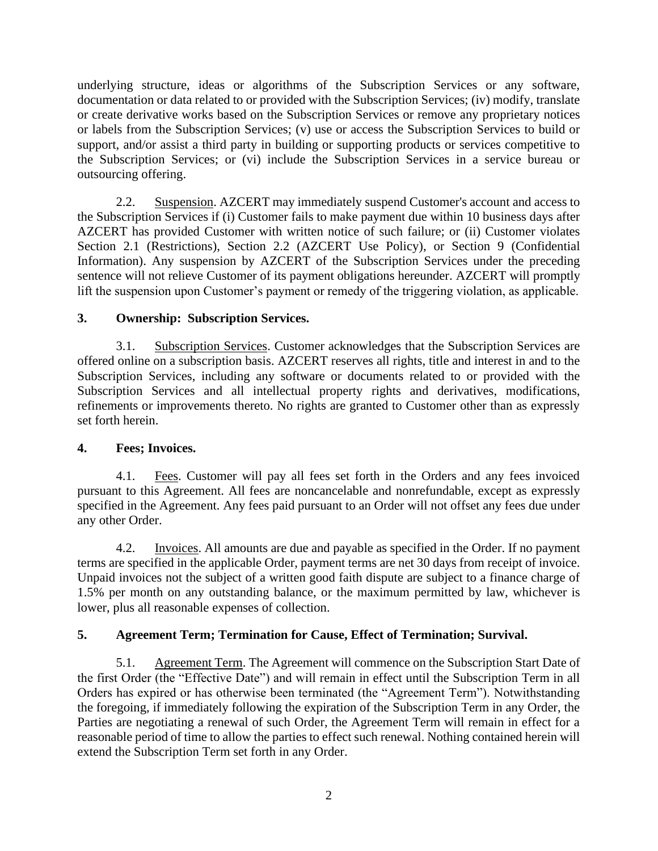underlying structure, ideas or algorithms of the Subscription Services or any software, documentation or data related to or provided with the Subscription Services; (iv) modify, translate or create derivative works based on the Subscription Services or remove any proprietary notices or labels from the Subscription Services; (v) use or access the Subscription Services to build or support, and/or assist a third party in building or supporting products or services competitive to the Subscription Services; or (vi) include the Subscription Services in a service bureau or outsourcing offering.

2.2. Suspension. AZCERT may immediately suspend Customer's account and access to the Subscription Services if (i) Customer fails to make payment due within 10 business days after AZCERT has provided Customer with written notice of such failure; or (ii) Customer violates Section 2.1 (Restrictions), Section 2.2 (AZCERT Use Policy), or Section 9 (Confidential Information). Any suspension by AZCERT of the Subscription Services under the preceding sentence will not relieve Customer of its payment obligations hereunder. AZCERT will promptly lift the suspension upon Customer's payment or remedy of the triggering violation, as applicable.

# **3. Ownership: Subscription Services.**

3.1. Subscription Services. Customer acknowledges that the Subscription Services are offered online on a subscription basis. AZCERT reserves all rights, title and interest in and to the Subscription Services, including any software or documents related to or provided with the Subscription Services and all intellectual property rights and derivatives, modifications, refinements or improvements thereto. No rights are granted to Customer other than as expressly set forth herein.

#### **4. Fees; Invoices.**

4.1. Fees. Customer will pay all fees set forth in the Orders and any fees invoiced pursuant to this Agreement. All fees are noncancelable and nonrefundable, except as expressly specified in the Agreement. Any fees paid pursuant to an Order will not offset any fees due under any other Order.

4.2. Invoices. All amounts are due and payable as specified in the Order. If no payment terms are specified in the applicable Order, payment terms are net 30 days from receipt of invoice. Unpaid invoices not the subject of a written good faith dispute are subject to a finance charge of 1.5% per month on any outstanding balance, or the maximum permitted by law, whichever is lower, plus all reasonable expenses of collection.

# **5. Agreement Term; Termination for Cause, Effect of Termination; Survival.**

5.1. Agreement Term. The Agreement will commence on the Subscription Start Date of the first Order (the "Effective Date") and will remain in effect until the Subscription Term in all Orders has expired or has otherwise been terminated (the "Agreement Term"). Notwithstanding the foregoing, if immediately following the expiration of the Subscription Term in any Order, the Parties are negotiating a renewal of such Order, the Agreement Term will remain in effect for a reasonable period of time to allow the parties to effect such renewal. Nothing contained herein will extend the Subscription Term set forth in any Order.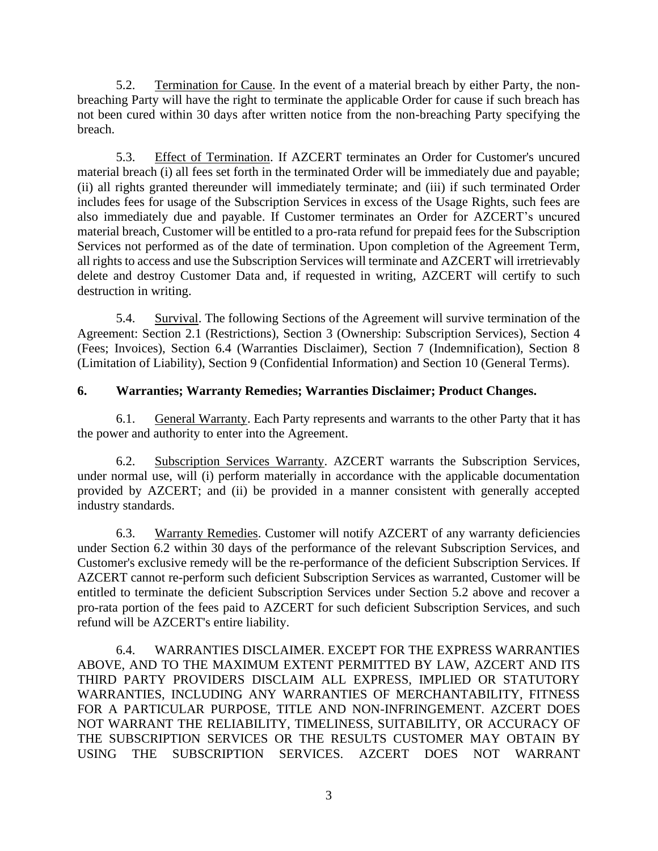5.2. Termination for Cause. In the event of a material breach by either Party, the nonbreaching Party will have the right to terminate the applicable Order for cause if such breach has not been cured within 30 days after written notice from the non-breaching Party specifying the breach.

5.3. Effect of Termination. If AZCERT terminates an Order for Customer's uncured material breach (i) all fees set forth in the terminated Order will be immediately due and payable; (ii) all rights granted thereunder will immediately terminate; and (iii) if such terminated Order includes fees for usage of the Subscription Services in excess of the Usage Rights, such fees are also immediately due and payable. If Customer terminates an Order for AZCERT's uncured material breach, Customer will be entitled to a pro-rata refund for prepaid fees for the Subscription Services not performed as of the date of termination. Upon completion of the Agreement Term, all rights to access and use the Subscription Services will terminate and AZCERT will irretrievably delete and destroy Customer Data and, if requested in writing, AZCERT will certify to such destruction in writing.

5.4. Survival. The following Sections of the Agreement will survive termination of the Agreement: Section 2.1 (Restrictions), Section 3 (Ownership: Subscription Services), Section 4 (Fees; Invoices), Section 6.4 (Warranties Disclaimer), Section 7 (Indemnification), Section 8 (Limitation of Liability), Section 9 (Confidential Information) and Section 10 (General Terms).

#### **6. Warranties; Warranty Remedies; Warranties Disclaimer; Product Changes.**

6.1. General Warranty. Each Party represents and warrants to the other Party that it has the power and authority to enter into the Agreement.

6.2. Subscription Services Warranty. AZCERT warrants the Subscription Services, under normal use, will (i) perform materially in accordance with the applicable documentation provided by AZCERT; and (ii) be provided in a manner consistent with generally accepted industry standards.

6.3. Warranty Remedies. Customer will notify AZCERT of any warranty deficiencies under Section 6.2 within 30 days of the performance of the relevant Subscription Services, and Customer's exclusive remedy will be the re-performance of the deficient Subscription Services. If AZCERT cannot re-perform such deficient Subscription Services as warranted, Customer will be entitled to terminate the deficient Subscription Services under Section 5.2 above and recover a pro-rata portion of the fees paid to AZCERT for such deficient Subscription Services, and such refund will be AZCERT's entire liability.

6.4. WARRANTIES DISCLAIMER. EXCEPT FOR THE EXPRESS WARRANTIES ABOVE, AND TO THE MAXIMUM EXTENT PERMITTED BY LAW, AZCERT AND ITS THIRD PARTY PROVIDERS DISCLAIM ALL EXPRESS, IMPLIED OR STATUTORY WARRANTIES, INCLUDING ANY WARRANTIES OF MERCHANTABILITY, FITNESS FOR A PARTICULAR PURPOSE, TITLE AND NON-INFRINGEMENT. AZCERT DOES NOT WARRANT THE RELIABILITY, TIMELINESS, SUITABILITY, OR ACCURACY OF THE SUBSCRIPTION SERVICES OR THE RESULTS CUSTOMER MAY OBTAIN BY USING THE SUBSCRIPTION SERVICES. AZCERT DOES NOT WARRANT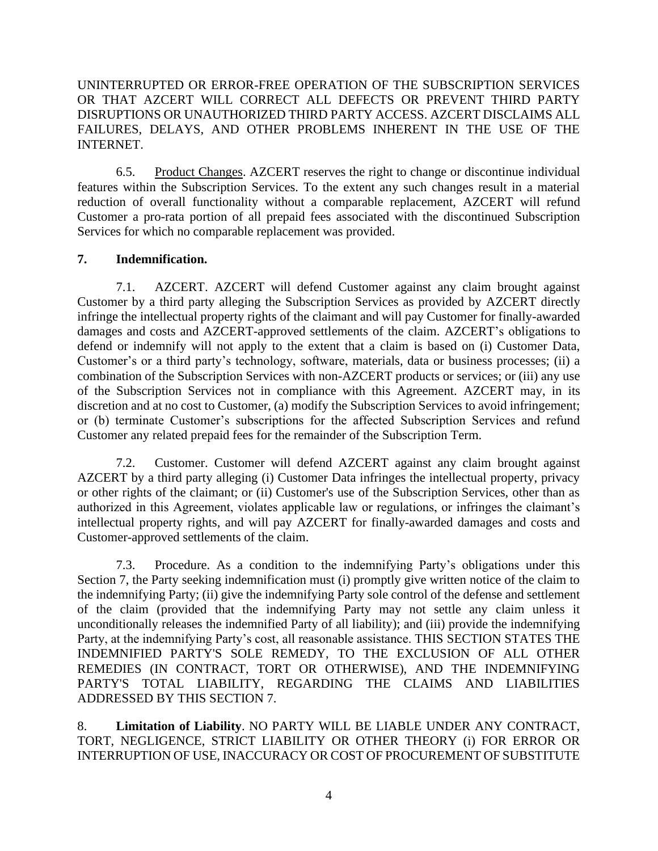UNINTERRUPTED OR ERROR-FREE OPERATION OF THE SUBSCRIPTION SERVICES OR THAT AZCERT WILL CORRECT ALL DEFECTS OR PREVENT THIRD PARTY DISRUPTIONS OR UNAUTHORIZED THIRD PARTY ACCESS. AZCERT DISCLAIMS ALL FAILURES, DELAYS, AND OTHER PROBLEMS INHERENT IN THE USE OF THE INTERNET.

6.5. Product Changes. AZCERT reserves the right to change or discontinue individual features within the Subscription Services. To the extent any such changes result in a material reduction of overall functionality without a comparable replacement, AZCERT will refund Customer a pro-rata portion of all prepaid fees associated with the discontinued Subscription Services for which no comparable replacement was provided.

#### **7. Indemnification.**

7.1. AZCERT. AZCERT will defend Customer against any claim brought against Customer by a third party alleging the Subscription Services as provided by AZCERT directly infringe the intellectual property rights of the claimant and will pay Customer for finally-awarded damages and costs and AZCERT-approved settlements of the claim. AZCERT's obligations to defend or indemnify will not apply to the extent that a claim is based on (i) Customer Data, Customer's or a third party's technology, software, materials, data or business processes; (ii) a combination of the Subscription Services with non-AZCERT products or services; or (iii) any use of the Subscription Services not in compliance with this Agreement. AZCERT may, in its discretion and at no cost to Customer, (a) modify the Subscription Services to avoid infringement; or (b) terminate Customer's subscriptions for the affected Subscription Services and refund Customer any related prepaid fees for the remainder of the Subscription Term.

7.2. Customer. Customer will defend AZCERT against any claim brought against AZCERT by a third party alleging (i) Customer Data infringes the intellectual property, privacy or other rights of the claimant; or (ii) Customer's use of the Subscription Services, other than as authorized in this Agreement, violates applicable law or regulations, or infringes the claimant's intellectual property rights, and will pay AZCERT for finally-awarded damages and costs and Customer-approved settlements of the claim.

7.3. Procedure. As a condition to the indemnifying Party's obligations under this Section 7, the Party seeking indemnification must (i) promptly give written notice of the claim to the indemnifying Party; (ii) give the indemnifying Party sole control of the defense and settlement of the claim (provided that the indemnifying Party may not settle any claim unless it unconditionally releases the indemnified Party of all liability); and (iii) provide the indemnifying Party, at the indemnifying Party's cost, all reasonable assistance. THIS SECTION STATES THE INDEMNIFIED PARTY'S SOLE REMEDY, TO THE EXCLUSION OF ALL OTHER REMEDIES (IN CONTRACT, TORT OR OTHERWISE), AND THE INDEMNIFYING PARTY'S TOTAL LIABILITY, REGARDING THE CLAIMS AND LIABILITIES ADDRESSED BY THIS SECTION 7.

8. **Limitation of Liability**. NO PARTY WILL BE LIABLE UNDER ANY CONTRACT, TORT, NEGLIGENCE, STRICT LIABILITY OR OTHER THEORY (i) FOR ERROR OR INTERRUPTION OF USE, INACCURACY OR COST OF PROCUREMENT OF SUBSTITUTE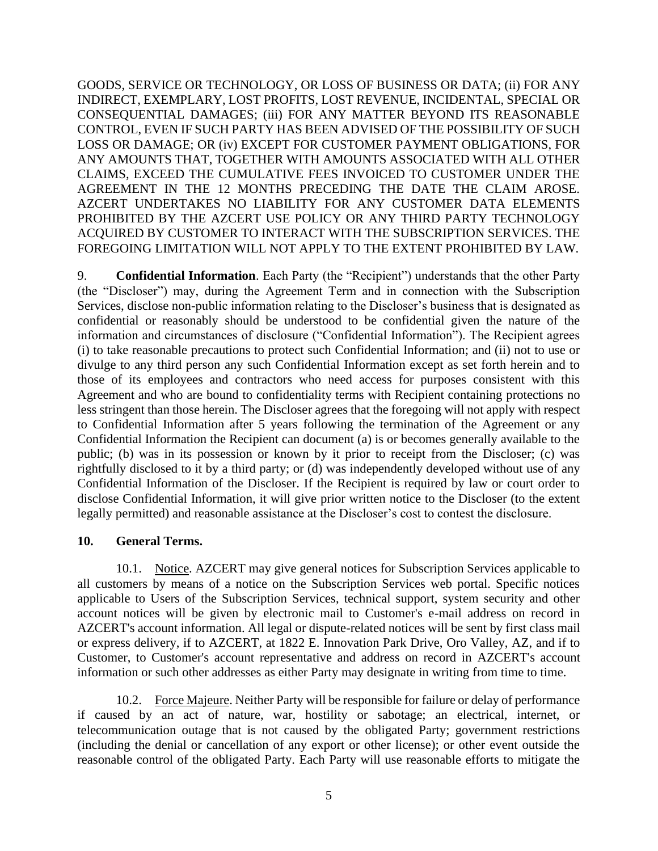GOODS, SERVICE OR TECHNOLOGY, OR LOSS OF BUSINESS OR DATA; (ii) FOR ANY INDIRECT, EXEMPLARY, LOST PROFITS, LOST REVENUE, INCIDENTAL, SPECIAL OR CONSEQUENTIAL DAMAGES; (iii) FOR ANY MATTER BEYOND ITS REASONABLE CONTROL, EVEN IF SUCH PARTY HAS BEEN ADVISED OF THE POSSIBILITY OF SUCH LOSS OR DAMAGE; OR (iv) EXCEPT FOR CUSTOMER PAYMENT OBLIGATIONS, FOR ANY AMOUNTS THAT, TOGETHER WITH AMOUNTS ASSOCIATED WITH ALL OTHER CLAIMS, EXCEED THE CUMULATIVE FEES INVOICED TO CUSTOMER UNDER THE AGREEMENT IN THE 12 MONTHS PRECEDING THE DATE THE CLAIM AROSE. AZCERT UNDERTAKES NO LIABILITY FOR ANY CUSTOMER DATA ELEMENTS PROHIBITED BY THE AZCERT USE POLICY OR ANY THIRD PARTY TECHNOLOGY ACQUIRED BY CUSTOMER TO INTERACT WITH THE SUBSCRIPTION SERVICES. THE FOREGOING LIMITATION WILL NOT APPLY TO THE EXTENT PROHIBITED BY LAW.

9. **Confidential Information**. Each Party (the "Recipient") understands that the other Party (the "Discloser") may, during the Agreement Term and in connection with the Subscription Services, disclose non-public information relating to the Discloser's business that is designated as confidential or reasonably should be understood to be confidential given the nature of the information and circumstances of disclosure ("Confidential Information"). The Recipient agrees (i) to take reasonable precautions to protect such Confidential Information; and (ii) not to use or divulge to any third person any such Confidential Information except as set forth herein and to those of its employees and contractors who need access for purposes consistent with this Agreement and who are bound to confidentiality terms with Recipient containing protections no less stringent than those herein. The Discloser agrees that the foregoing will not apply with respect to Confidential Information after 5 years following the termination of the Agreement or any Confidential Information the Recipient can document (a) is or becomes generally available to the public; (b) was in its possession or known by it prior to receipt from the Discloser; (c) was rightfully disclosed to it by a third party; or (d) was independently developed without use of any Confidential Information of the Discloser. If the Recipient is required by law or court order to disclose Confidential Information, it will give prior written notice to the Discloser (to the extent legally permitted) and reasonable assistance at the Discloser's cost to contest the disclosure.

#### **10. General Terms.**

10.1. Notice. AZCERT may give general notices for Subscription Services applicable to all customers by means of a notice on the Subscription Services web portal. Specific notices applicable to Users of the Subscription Services, technical support, system security and other account notices will be given by electronic mail to Customer's e-mail address on record in AZCERT's account information. All legal or dispute-related notices will be sent by first class mail or express delivery, if to AZCERT, at 1822 E. Innovation Park Drive, Oro Valley, AZ, and if to Customer, to Customer's account representative and address on record in AZCERT's account information or such other addresses as either Party may designate in writing from time to time.

10.2. Force Majeure. Neither Party will be responsible for failure or delay of performance if caused by an act of nature, war, hostility or sabotage; an electrical, internet, or telecommunication outage that is not caused by the obligated Party; government restrictions (including the denial or cancellation of any export or other license); or other event outside the reasonable control of the obligated Party. Each Party will use reasonable efforts to mitigate the